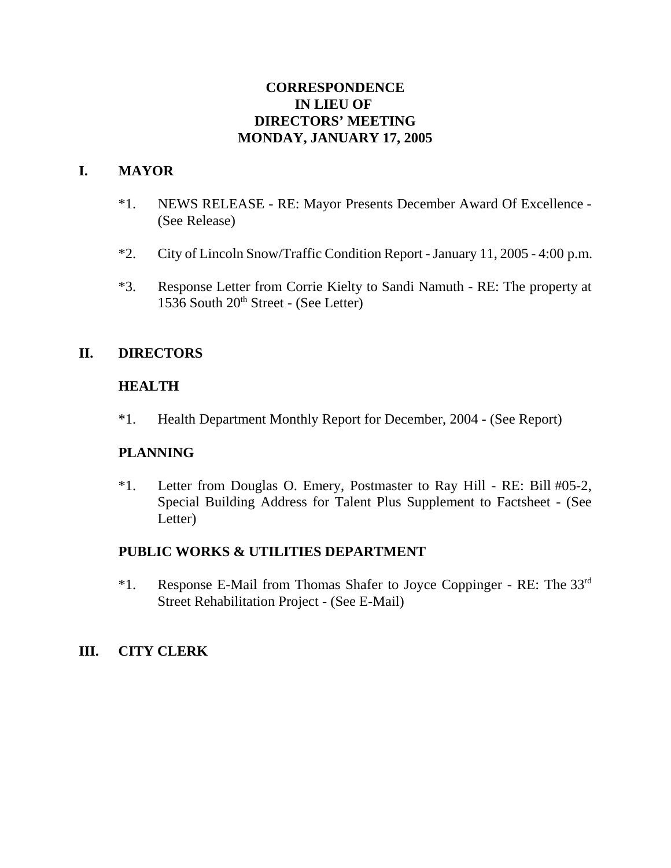# **CORRESPONDENCE IN LIEU OF DIRECTORS' MEETING MONDAY, JANUARY 17, 2005**

# **I. MAYOR**

- \*1. NEWS RELEASE RE: Mayor Presents December Award Of Excellence (See Release)
- \*2. City of Lincoln Snow/Traffic Condition Report January 11, 2005 4:00 p.m.
- \*3. Response Letter from Corrie Kielty to Sandi Namuth RE: The property at 1536 South  $20<sup>th</sup>$  Street - (See Letter)

## **II. DIRECTORS**

## **HEALTH**

\*1. Health Department Monthly Report for December, 2004 - (See Report)

## **PLANNING**

\*1. Letter from Douglas O. Emery, Postmaster to Ray Hill - RE: Bill #05-2, Special Building Address for Talent Plus Supplement to Factsheet - (See Letter)

## **PUBLIC WORKS & UTILITIES DEPARTMENT**

\*1. Response E-Mail from Thomas Shafer to Joyce Coppinger - RE: The 33rd Street Rehabilitation Project - (See E-Mail)

## **III. CITY CLERK**